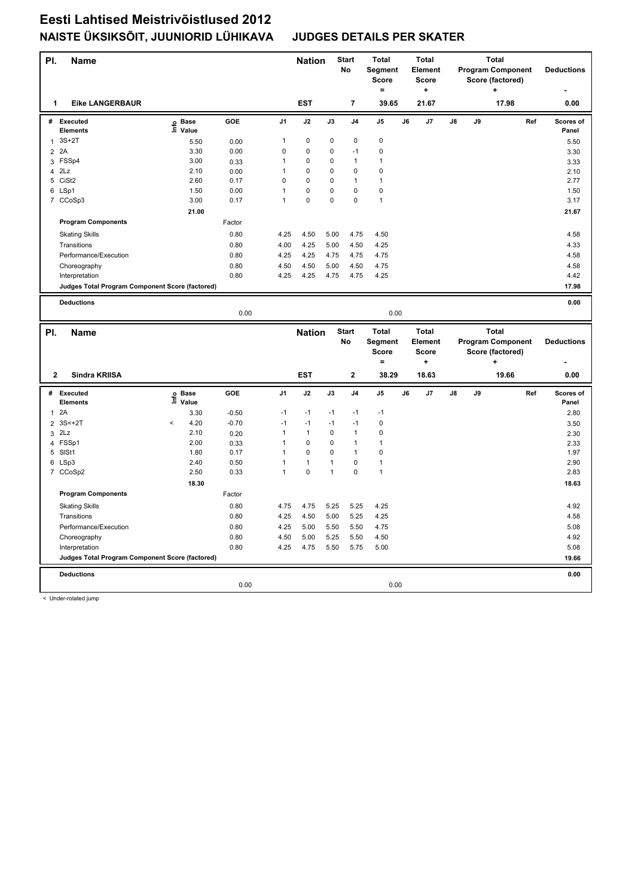| PI.            | <b>Name</b>                                     |                   |         |                | <b>Nation</b> |              | <b>Start</b><br>No | <b>Total</b><br>Segment<br><b>Score</b><br>$=$ |    | <b>Total</b><br>Element<br><b>Score</b><br>٠ |    | <b>Program Component</b><br>Score (factored) | <b>Deductions</b>        |     |                    |
|----------------|-------------------------------------------------|-------------------|---------|----------------|---------------|--------------|--------------------|------------------------------------------------|----|----------------------------------------------|----|----------------------------------------------|--------------------------|-----|--------------------|
| 1              | <b>Eike LANGERBAUR</b>                          |                   |         |                | <b>EST</b>    |              | $\overline{7}$     | 39.65                                          |    | 21.67                                        |    |                                              | 17.98                    |     | 0.00               |
| #              | Executed<br><b>Elements</b>                     | e Base<br>⊑ Value | GOE     | J <sub>1</sub> | J2            | J3           | J <sub>4</sub>     | J <sub>5</sub>                                 | J6 | J7                                           | J8 | J9                                           |                          | Ref | Scores of<br>Panel |
| $\mathbf{1}$   | $3S+2T$                                         | 5.50              | 0.00    | 1              | $\mathbf 0$   | 0            | $\mathbf 0$        | $\pmb{0}$                                      |    |                                              |    |                                              |                          |     | 5.50               |
| 2 2A           |                                                 | 3.30              | 0.00    | 0              | 0             | 0            | $-1$               | $\mathbf 0$                                    |    |                                              |    |                                              |                          |     | 3.30               |
|                | 3 FSSp4                                         | 3.00              | 0.33    | 1              | $\pmb{0}$     | 0            | $\mathbf{1}$       | $\mathbf{1}$                                   |    |                                              |    |                                              |                          |     | 3.33               |
| $\overline{4}$ | 2Lz                                             | 2.10              | 0.00    | $\mathbf{1}$   | $\mathbf 0$   | 0            | $\mathbf 0$        | $\mathbf 0$                                    |    |                                              |    |                                              |                          |     | 2.10               |
| 5              | CiSt <sub>2</sub>                               | 2.60              | 0.17    | 0              | 0             | 0            | $\mathbf{1}$       | $\mathbf{1}$                                   |    |                                              |    |                                              |                          |     | 2.77               |
|                | 6 LSp1                                          | 1.50              | 0.00    | $\mathbf{1}$   | 0             | 0            | $\mathbf 0$        | $\mathbf 0$                                    |    |                                              |    |                                              |                          |     | 1.50               |
|                | 7 CCoSp3                                        | 3.00              | 0.17    | $\mathbf{1}$   | 0             | 0            | $\mathbf 0$        | $\mathbf{1}$                                   |    |                                              |    |                                              |                          |     | 3.17               |
|                |                                                 | 21.00             |         |                |               |              |                    |                                                |    |                                              |    |                                              |                          |     | 21.67              |
|                | <b>Program Components</b>                       |                   | Factor  |                |               |              |                    |                                                |    |                                              |    |                                              |                          |     |                    |
|                | <b>Skating Skills</b>                           |                   | 0.80    | 4.25           | 4.50          | 5.00         | 4.75               | 4.50                                           |    |                                              |    |                                              |                          |     | 4.58               |
|                | Transitions                                     |                   | 0.80    | 4.00           | 4.25          | 5.00         | 4.50               | 4.25                                           |    |                                              |    |                                              |                          |     | 4.33               |
|                | Performance/Execution                           |                   | 0.80    | 4.25           | 4.25          | 4.75         | 4.75               | 4.75                                           |    |                                              |    |                                              |                          |     | 4.58               |
|                | Choreography                                    |                   | 0.80    | 4.50           | 4.50          | 5.00         | 4.50               | 4.75                                           |    |                                              |    |                                              |                          |     | 4.58               |
|                | Interpretation                                  |                   | 0.80    | 4.25           | 4.25          | 4.75         | 4.75               | 4.25                                           |    |                                              |    |                                              |                          |     | 4.42               |
|                | Judges Total Program Component Score (factored) |                   |         |                |               |              |                    |                                                |    |                                              |    |                                              |                          |     | 17.98              |
|                |                                                 |                   |         |                |               |              |                    |                                                |    |                                              |    |                                              |                          |     |                    |
|                | <b>Deductions</b>                               |                   |         |                |               |              |                    |                                                |    |                                              |    |                                              |                          |     | 0.00               |
|                |                                                 |                   | 0.00    |                |               |              |                    | 0.00                                           |    |                                              |    |                                              |                          |     |                    |
|                |                                                 |                   |         |                |               |              |                    |                                                |    |                                              |    |                                              |                          |     |                    |
|                |                                                 |                   |         |                |               |              | <b>Start</b>       | <b>Total</b>                                   |    | <b>Total</b>                                 |    |                                              | <b>Total</b>             |     |                    |
| PI.            | <b>Name</b>                                     |                   |         |                | <b>Nation</b> |              | No                 | Segment                                        |    | Element                                      |    |                                              | <b>Program Component</b> |     | <b>Deductions</b>  |
|                |                                                 |                   |         |                |               |              |                    | <b>Score</b>                                   |    | <b>Score</b>                                 |    |                                              | Score (factored)         |     |                    |
|                |                                                 |                   |         |                |               |              |                    | $=$                                            |    | ٠                                            |    |                                              |                          |     |                    |
| $\overline{2}$ | Sindra KRIISA                                   |                   |         |                | <b>EST</b>    |              | $\mathbf{2}$       | 38.29                                          |    | 18.63                                        |    |                                              | 19.66                    |     | 0.00               |
|                | # Executed                                      |                   | GOE     | J <sub>1</sub> | J2            | J3           | J4                 | J5                                             | J6 | J7                                           | J8 | J9                                           |                          | Ref | Scores of          |
|                | <b>Elements</b>                                 | e Base<br>⊑ Value |         |                |               |              |                    |                                                |    |                                              |    |                                              |                          |     | Panel              |
| $\mathbf{1}$   | 2A                                              | 3.30              | $-0.50$ | $-1$           | $-1$          | $-1$         | $-1$               | $-1$                                           |    |                                              |    |                                              |                          |     | 2.80               |
|                | 2 3S<+2T                                        | 4.20<br>$\prec$   | $-0.70$ | $-1$           | $-1$          | $-1$         | $-1$               | $\mathbf 0$                                    |    |                                              |    |                                              |                          |     | 3.50               |
| 3              | 2Lz                                             | 2.10              | 0.20    | $\mathbf{1}$   | $\mathbf{1}$  | 0            | $\mathbf{1}$       | $\mathbf 0$                                    |    |                                              |    |                                              |                          |     | 2.30               |
|                | 4 FSSp1                                         | 2.00              | 0.33    | 1              | 0             | 0            | $\mathbf{1}$       | $\mathbf{1}$                                   |    |                                              |    |                                              |                          |     | 2.33               |
|                | 5 SISt1                                         | 1.80              | 0.17    | 1              | $\mathbf 0$   | 0            | $\mathbf{1}$       | $\mathbf 0$                                    |    |                                              |    |                                              |                          |     | 1.97               |
|                | 6 LSp3                                          | 2.40              | 0.50    | 1              | 1             | 1            | $\mathbf 0$        | $\mathbf{1}$                                   |    |                                              |    |                                              |                          |     | 2.90               |
|                | 7 CCoSp2                                        | 2.50              | 0.33    | $\mathbf{1}$   | $\mathbf 0$   | $\mathbf{1}$ | $\mathbf 0$        | $\mathbf{1}$                                   |    |                                              |    |                                              |                          |     | 2.83               |
|                |                                                 | 18.30             |         |                |               |              |                    |                                                |    |                                              |    |                                              |                          |     | 18.63              |
|                | <b>Program Components</b>                       |                   | Factor  |                |               |              |                    |                                                |    |                                              |    |                                              |                          |     |                    |
|                | <b>Skating Skills</b>                           |                   | 0.80    | 4.75           | 4.75          | 5.25         | 5.25               | 4.25                                           |    |                                              |    |                                              |                          |     | 4.92               |
|                | Transitions                                     |                   | 0.80    | 4.25           | 4.50          | 5.00         | 5.25               | 4.25                                           |    |                                              |    |                                              |                          |     | 4.58               |
|                | Performance/Execution                           |                   | 0.80    | 4.25           | 5.00          | 5.50         | 5.50               | 4.75                                           |    |                                              |    |                                              |                          |     | 5.08               |
|                | Choreography                                    |                   | 0.80    | 4.50           | 5.00          | 5.25         | 5.50               | 4.50                                           |    |                                              |    |                                              |                          |     | 4.92               |
|                | Interpretation                                  |                   | 0.80    | 4.25           | 4.75          | 5.50         | 5.75               | 5.00                                           |    |                                              |    |                                              |                          |     | 5.08               |
|                | Judges Total Program Component Score (factored) |                   |         |                |               |              |                    |                                                |    |                                              |    |                                              |                          |     | 19.66              |
|                | <b>Deductions</b>                               |                   |         |                |               |              |                    |                                                |    |                                              |    |                                              |                          |     | 0.00               |

< Under-rotated jump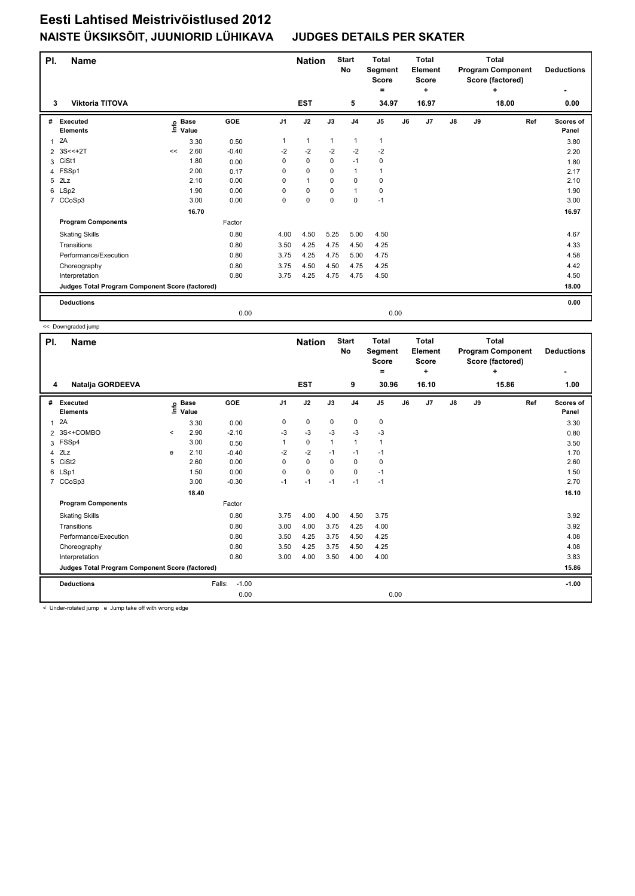| PI.          | <b>Name</b>                                     |      |                      |            | <b>Start</b><br><b>Nation</b><br>No |              | <b>Total</b><br>Segment<br><b>Score</b><br>۰ |                | <b>Total</b><br>Element<br><b>Score</b><br>÷ |    | <b>Total</b><br><b>Program Component</b><br>Score (factored) | <b>Deductions</b> |    |            |                    |
|--------------|-------------------------------------------------|------|----------------------|------------|-------------------------------------|--------------|----------------------------------------------|----------------|----------------------------------------------|----|--------------------------------------------------------------|-------------------|----|------------|--------------------|
| 3            | <b>Viktoria TITOVA</b>                          |      |                      |            |                                     | <b>EST</b>   |                                              | 5              | 34.97                                        |    | 16.97                                                        |                   |    | ٠<br>18.00 | ٠<br>0.00          |
|              |                                                 |      |                      |            |                                     |              |                                              |                |                                              |    |                                                              |                   |    |            |                    |
| #            | Executed<br><b>Elements</b>                     | lnfo | <b>Base</b><br>Value | <b>GOE</b> | J <sub>1</sub>                      | J2           | J3                                           | J <sub>4</sub> | J <sub>5</sub>                               | J6 | J <sub>7</sub>                                               | $\mathsf{J}8$     | J9 | Ref        | Scores of<br>Panel |
| $\mathbf{1}$ | 2A                                              |      | 3.30                 | 0.50       | 1                                   | $\mathbf{1}$ | $\mathbf{1}$                                 | $\mathbf{1}$   | $\mathbf{1}$                                 |    |                                                              |                   |    |            | 3.80               |
|              | 2 3S<<+2T                                       | <<   | 2.60                 | $-0.40$    | $-2$                                | $-2$         | $-2$                                         | $-2$           | $-2$                                         |    |                                                              |                   |    |            | 2.20               |
| 3            | CiSt1                                           |      | 1.80                 | 0.00       | 0                                   | $\mathbf 0$  | $\mathbf 0$                                  | $-1$           | 0                                            |    |                                                              |                   |    |            | 1.80               |
|              | 4 FSSp1                                         |      | 2.00                 | 0.17       | 0                                   | $\mathbf 0$  | 0                                            | $\mathbf{1}$   | $\mathbf{1}$                                 |    |                                                              |                   |    |            | 2.17               |
| 5            | 2Lz                                             |      | 2.10                 | 0.00       | 0                                   | $\mathbf{1}$ | 0                                            | 0              | 0                                            |    |                                                              |                   |    |            | 2.10               |
|              | 6 LSp2                                          |      | 1.90                 | 0.00       | 0                                   | $\mathbf 0$  | 0                                            | $\mathbf{1}$   | 0                                            |    |                                                              |                   |    |            | 1.90               |
|              | 7 CCoSp3                                        |      | 3.00                 | 0.00       | 0                                   | $\pmb{0}$    | $\mathbf 0$                                  | $\mathbf 0$    | $-1$                                         |    |                                                              |                   |    |            | 3.00               |
|              |                                                 |      | 16.70                |            |                                     |              |                                              |                |                                              |    |                                                              |                   |    |            | 16.97              |
|              | <b>Program Components</b>                       |      |                      | Factor     |                                     |              |                                              |                |                                              |    |                                                              |                   |    |            |                    |
|              | <b>Skating Skills</b>                           |      |                      | 0.80       | 4.00                                | 4.50         | 5.25                                         | 5.00           | 4.50                                         |    |                                                              |                   |    |            | 4.67               |
|              | Transitions                                     |      |                      | 0.80       | 3.50                                | 4.25         | 4.75                                         | 4.50           | 4.25                                         |    |                                                              |                   |    |            | 4.33               |
|              | Performance/Execution                           |      |                      | 0.80       | 3.75                                | 4.25         | 4.75                                         | 5.00           | 4.75                                         |    |                                                              |                   |    |            | 4.58               |
|              | Choreography                                    |      |                      | 0.80       | 3.75                                | 4.50         | 4.50                                         | 4.75           | 4.25                                         |    |                                                              |                   |    |            | 4.42               |
|              | Interpretation                                  |      |                      | 0.80       | 3.75                                | 4.25         | 4.75                                         | 4.75           | 4.50                                         |    |                                                              |                   |    |            | 4.50               |
|              | Judges Total Program Component Score (factored) |      |                      |            |                                     |              |                                              |                |                                              |    |                                                              |                   |    |            | 18.00              |
|              | <b>Deductions</b>                               |      |                      |            |                                     |              |                                              |                |                                              |    |                                                              |                   |    |            | 0.00               |
|              |                                                 |      |                      | 0.00       |                                     |              |                                              |                | 0.00                                         |    |                                                              |                   |    |            |                    |

<< Downgraded jump

| PI. | <b>Name</b>                                     |       |                      |                   |                | <b>Nation</b> |              | <b>Start</b><br><b>No</b> | <b>Total</b><br>Segment<br><b>Score</b> |    | <b>Total</b><br>Element<br><b>Score</b> |               |    | <b>Total</b><br><b>Program Component</b><br>Score (factored) | <b>Deductions</b>  |
|-----|-------------------------------------------------|-------|----------------------|-------------------|----------------|---------------|--------------|---------------------------|-----------------------------------------|----|-----------------------------------------|---------------|----|--------------------------------------------------------------|--------------------|
|     |                                                 |       |                      |                   |                |               |              |                           | =                                       |    | ÷                                       |               |    | ÷                                                            | ٠                  |
| 4   | Natalja GORDEEVA                                |       |                      |                   |                | <b>EST</b>    |              | 9                         | 30.96                                   |    | 16.10                                   |               |    | 15.86                                                        | 1.00               |
| #   | Executed<br><b>Elements</b>                     | ١nf٥  | <b>Base</b><br>Value | <b>GOE</b>        | J <sub>1</sub> | J2            | J3           | J <sub>4</sub>            | J <sub>5</sub>                          | J6 | J <sub>7</sub>                          | $\mathsf{J}8$ | J9 | Ref                                                          | Scores of<br>Panel |
| 1   | 2A                                              |       | 3.30                 | 0.00              | 0              | $\mathbf 0$   | $\mathbf 0$  | $\mathbf 0$               | 0                                       |    |                                         |               |    |                                                              | 3.30               |
|     | 2 3S<+COMBO                                     | $\,<$ | 2.90                 | $-2.10$           | -3             | -3            | -3           | -3                        | $-3$                                    |    |                                         |               |    |                                                              | 0.80               |
| 3   | FSSp4                                           |       | 3.00                 | 0.50              | 1              | $\mathbf 0$   | $\mathbf{1}$ | $\mathbf{1}$              | $\mathbf{1}$                            |    |                                         |               |    |                                                              | 3.50               |
| 4   | 2Lz                                             | e     | 2.10                 | $-0.40$           | $-2$           | $-2$          | $-1$         | $-1$                      | $-1$                                    |    |                                         |               |    |                                                              | 1.70               |
| 5   | CiSt <sub>2</sub>                               |       | 2.60                 | 0.00              | 0              | $\mathbf 0$   | 0            | $\pmb{0}$                 | 0                                       |    |                                         |               |    |                                                              | 2.60               |
|     | 6 LSp1                                          |       | 1.50                 | 0.00              | 0              | $\mathbf 0$   | $\Omega$     | 0                         | $-1$                                    |    |                                         |               |    |                                                              | 1.50               |
|     | 7 CCoSp3                                        |       | 3.00                 | $-0.30$           | $-1$           | $-1$          | $-1$         | $-1$                      | $-1$                                    |    |                                         |               |    |                                                              | 2.70               |
|     |                                                 |       | 18.40                |                   |                |               |              |                           |                                         |    |                                         |               |    |                                                              | 16.10              |
|     | <b>Program Components</b>                       |       |                      | Factor            |                |               |              |                           |                                         |    |                                         |               |    |                                                              |                    |
|     | <b>Skating Skills</b>                           |       |                      | 0.80              | 3.75           | 4.00          | 4.00         | 4.50                      | 3.75                                    |    |                                         |               |    |                                                              | 3.92               |
|     | Transitions                                     |       |                      | 0.80              | 3.00           | 4.00          | 3.75         | 4.25                      | 4.00                                    |    |                                         |               |    |                                                              | 3.92               |
|     | Performance/Execution                           |       |                      | 0.80              | 3.50           | 4.25          | 3.75         | 4.50                      | 4.25                                    |    |                                         |               |    |                                                              | 4.08               |
|     | Choreography                                    |       |                      | 0.80              | 3.50           | 4.25          | 3.75         | 4.50                      | 4.25                                    |    |                                         |               |    |                                                              | 4.08               |
|     | Interpretation                                  |       |                      | 0.80              | 3.00           | 4.00          | 3.50         | 4.00                      | 4.00                                    |    |                                         |               |    |                                                              | 3.83               |
|     | Judges Total Program Component Score (factored) |       |                      |                   |                |               |              |                           |                                         |    |                                         |               |    |                                                              | 15.86              |
|     | <b>Deductions</b>                               |       |                      | $-1.00$<br>Falls: |                |               |              |                           |                                         |    |                                         |               |    |                                                              | $-1.00$            |
|     |                                                 |       |                      | 0.00              |                |               |              |                           | 0.00                                    |    |                                         |               |    |                                                              |                    |

< Under-rotated jump e Jump take off with wrong edge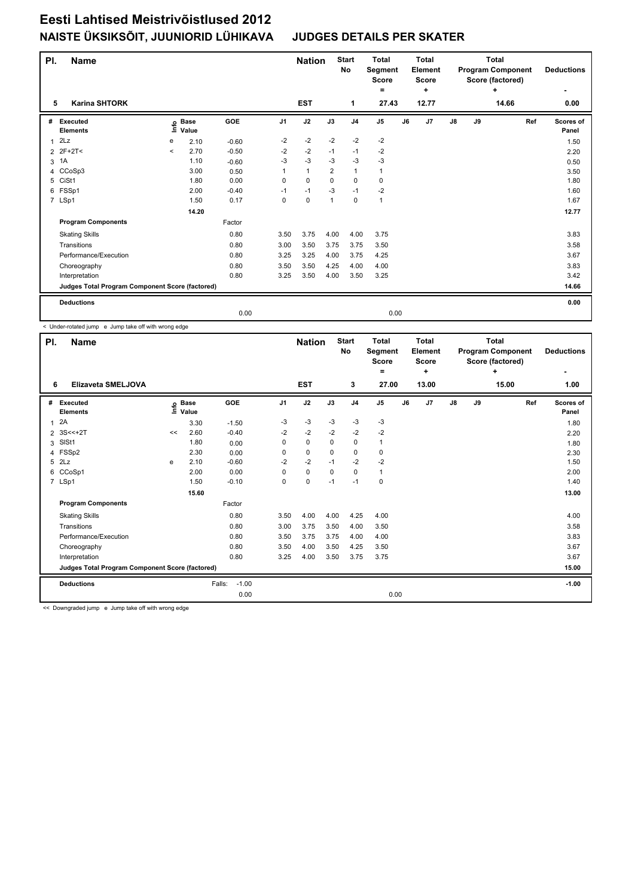| PI. | <b>Name</b>                                     |         |                      | <b>Nation</b> |                | <b>Start</b><br>No | <b>Total</b><br>Segment<br>Score<br>= |                | <b>Total</b><br>Element<br><b>Score</b><br>÷ |    |       | <b>Total</b><br><b>Program Component</b><br>Score (factored)<br>÷ | <b>Deductions</b> |       |                    |
|-----|-------------------------------------------------|---------|----------------------|---------------|----------------|--------------------|---------------------------------------|----------------|----------------------------------------------|----|-------|-------------------------------------------------------------------|-------------------|-------|--------------------|
| 5   | <b>Karina SHTORK</b>                            |         |                      |               |                | <b>EST</b>         |                                       | 1              | 27.43                                        |    | 12.77 |                                                                   |                   | 14.66 | ۰<br>0.00          |
| #   | <b>Executed</b><br><b>Elements</b>              | ١nf٥    | <b>Base</b><br>Value | GOE           | J <sub>1</sub> | J2                 | J3                                    | J <sub>4</sub> | J <sub>5</sub>                               | J6 | J7    | ${\sf J8}$                                                        | J9                | Ref   | Scores of<br>Panel |
| 1   | 2Lz                                             | e       | 2.10                 | $-0.60$       | $-2$           | $-2$               | $-2$                                  | $-2$           | $-2$                                         |    |       |                                                                   |                   |       | 1.50               |
|     | 2 2F+2T<                                        | $\prec$ | 2.70                 | $-0.50$       | $-2$           | $-2$               | $-1$                                  | $-1$           | -2                                           |    |       |                                                                   |                   |       | 2.20               |
| 3   | 1A                                              |         | 1.10                 | $-0.60$       | $-3$           | $-3$               | $-3$                                  | $-3$           | $-3$                                         |    |       |                                                                   |                   |       | 0.50               |
|     | 4 CCoSp3                                        |         | 3.00                 | 0.50          |                | $\mathbf{1}$       | $\overline{2}$                        | $\mathbf{1}$   | $\mathbf{1}$                                 |    |       |                                                                   |                   |       | 3.50               |
| 5   | CiSt1                                           |         | 1.80                 | 0.00          | 0              | $\mathbf 0$        | 0                                     | $\pmb{0}$      | 0                                            |    |       |                                                                   |                   |       | 1.80               |
|     | 6 FSSp1                                         |         | 2.00                 | $-0.40$       | $-1$           | $-1$               | $-3$                                  | $-1$           | $-2$                                         |    |       |                                                                   |                   |       | 1.60               |
|     | 7 LSp1                                          |         | 1.50                 | 0.17          | 0              | $\mathbf 0$        | $\overline{1}$                        | $\Omega$       | $\mathbf{1}$                                 |    |       |                                                                   |                   |       | 1.67               |
|     |                                                 |         | 14.20                |               |                |                    |                                       |                |                                              |    |       |                                                                   |                   |       | 12.77              |
|     | <b>Program Components</b>                       |         |                      | Factor        |                |                    |                                       |                |                                              |    |       |                                                                   |                   |       |                    |
|     | <b>Skating Skills</b>                           |         |                      | 0.80          | 3.50           | 3.75               | 4.00                                  | 4.00           | 3.75                                         |    |       |                                                                   |                   |       | 3.83               |
|     | Transitions                                     |         |                      | 0.80          | 3.00           | 3.50               | 3.75                                  | 3.75           | 3.50                                         |    |       |                                                                   |                   |       | 3.58               |
|     | Performance/Execution                           |         |                      | 0.80          | 3.25           | 3.25               | 4.00                                  | 3.75           | 4.25                                         |    |       |                                                                   |                   |       | 3.67               |
|     | Choreography                                    |         |                      | 0.80          | 3.50           | 3.50               | 4.25                                  | 4.00           | 4.00                                         |    |       |                                                                   |                   |       | 3.83               |
|     | Interpretation                                  |         |                      | 0.80          | 3.25           | 3.50               | 4.00                                  | 3.50           | 3.25                                         |    |       |                                                                   |                   |       | 3.42               |
|     | Judges Total Program Component Score (factored) |         |                      |               |                |                    |                                       |                |                                              |    |       |                                                                   |                   |       | 14.66              |
|     | <b>Deductions</b>                               |         |                      |               |                |                    |                                       |                |                                              |    |       |                                                                   |                   |       | 0.00               |
|     |                                                 |         |                      | 0.00          |                |                    |                                       |                | 0.00                                         |    |       |                                                                   |                   |       |                    |

< Under-rotated jump e Jump take off with wrong edge

| PI.            | <b>Name</b>                                     |       |                      |                   |                | <b>Nation</b> |             | <b>Start</b><br>No | <b>Total</b><br>Segment<br><b>Score</b><br>= |    | <b>Total</b><br><b>Element</b><br><b>Score</b><br>÷ |            |    | <b>Total</b><br><b>Program Component</b><br>Score (factored)<br>÷ | <b>Deductions</b>  |
|----------------|-------------------------------------------------|-------|----------------------|-------------------|----------------|---------------|-------------|--------------------|----------------------------------------------|----|-----------------------------------------------------|------------|----|-------------------------------------------------------------------|--------------------|
| 6              | Elizaveta SMELJOVA                              |       |                      |                   |                | <b>EST</b>    |             | 3                  | 27.00                                        |    | 13.00                                               |            |    | 15.00                                                             | 1.00               |
| #              | Executed<br><b>Elements</b>                     | ١nf٥  | <b>Base</b><br>Value | GOE               | J <sub>1</sub> | J2            | J3          | J <sub>4</sub>     | J <sub>5</sub>                               | J6 | J7                                                  | ${\sf J8}$ | J9 | Ref                                                               | Scores of<br>Panel |
| 1              | 2A                                              |       | 3.30                 | $-1.50$           | -3             | $-3$          | -3          | $-3$               | $-3$                                         |    |                                                     |            |    |                                                                   | 1.80               |
|                | 2 3S<<+2T                                       | $\,<$ | 2.60                 | $-0.40$           | $-2$           | $-2$          | $-2$        | $-2$               | $-2$                                         |    |                                                     |            |    |                                                                   | 2.20               |
| 3              | SISt1                                           |       | 1.80                 | 0.00              | 0              | $\mathbf 0$   | 0           | $\mathbf 0$        | $\mathbf{1}$                                 |    |                                                     |            |    |                                                                   | 1.80               |
| $\overline{4}$ | FSSp2                                           |       | 2.30                 | 0.00              | 0              | 0             | 0           | 0                  | 0                                            |    |                                                     |            |    |                                                                   | 2.30               |
| 5              | 2Lz                                             | e     | 2.10                 | $-0.60$           | $-2$           | $-2$          | $-1$        | $-2$               | $-2$                                         |    |                                                     |            |    |                                                                   | 1.50               |
| 6              | CCoSp1                                          |       | 2.00                 | 0.00              | 0              | $\mathbf 0$   | $\mathbf 0$ | $\mathbf 0$        | $\mathbf{1}$                                 |    |                                                     |            |    |                                                                   | 2.00               |
|                | 7 LSp1                                          |       | 1.50                 | $-0.10$           | 0              | $\mathbf 0$   | $-1$        | $-1$               | $\pmb{0}$                                    |    |                                                     |            |    |                                                                   | 1.40               |
|                |                                                 |       | 15.60                |                   |                |               |             |                    |                                              |    |                                                     |            |    |                                                                   | 13.00              |
|                | <b>Program Components</b>                       |       |                      | Factor            |                |               |             |                    |                                              |    |                                                     |            |    |                                                                   |                    |
|                | <b>Skating Skills</b>                           |       |                      | 0.80              | 3.50           | 4.00          | 4.00        | 4.25               | 4.00                                         |    |                                                     |            |    |                                                                   | 4.00               |
|                | Transitions                                     |       |                      | 0.80              | 3.00           | 3.75          | 3.50        | 4.00               | 3.50                                         |    |                                                     |            |    |                                                                   | 3.58               |
|                | Performance/Execution                           |       |                      | 0.80              | 3.50           | 3.75          | 3.75        | 4.00               | 4.00                                         |    |                                                     |            |    |                                                                   | 3.83               |
|                | Choreography                                    |       |                      | 0.80              | 3.50           | 4.00          | 3.50        | 4.25               | 3.50                                         |    |                                                     |            |    |                                                                   | 3.67               |
|                | Interpretation                                  |       |                      | 0.80              | 3.25           | 4.00          | 3.50        | 3.75               | 3.75                                         |    |                                                     |            |    |                                                                   | 3.67               |
|                | Judges Total Program Component Score (factored) |       |                      |                   |                |               |             |                    |                                              |    |                                                     |            |    |                                                                   | 15.00              |
|                | <b>Deductions</b>                               |       |                      | $-1.00$<br>Falls: |                |               |             |                    |                                              |    |                                                     |            |    |                                                                   | $-1.00$            |
|                |                                                 |       |                      | 0.00              |                |               |             |                    | 0.00                                         |    |                                                     |            |    |                                                                   |                    |

<< Downgraded jump e Jump take off with wrong edge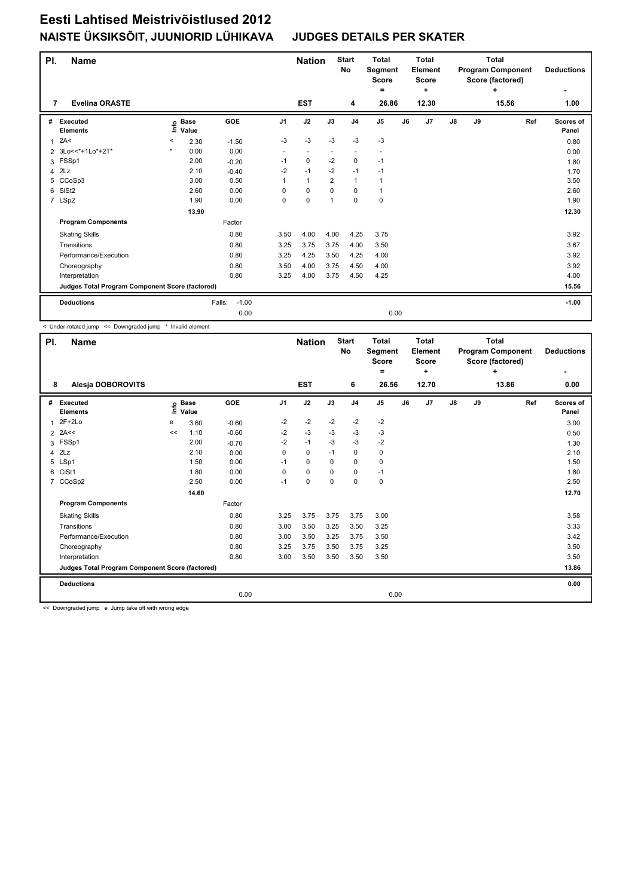| PI.            | <b>Name</b>                                     |       |                      | <b>Nation</b>     | <b>Start</b><br>No |                          | <b>Total</b><br>Segment<br>Score<br>۰ |                          | <b>Total</b><br>Element<br><b>Score</b><br>÷ |    | <b>Total</b><br><b>Program Component</b><br>Score (factored) | <b>Deductions</b> |    |            |                    |
|----------------|-------------------------------------------------|-------|----------------------|-------------------|--------------------|--------------------------|---------------------------------------|--------------------------|----------------------------------------------|----|--------------------------------------------------------------|-------------------|----|------------|--------------------|
| 7              | <b>Evelina ORASTE</b>                           |       |                      |                   |                    | <b>EST</b>               |                                       | 4                        | 26.86                                        |    | 12.30                                                        |                   |    | ÷<br>15.56 | ٠<br>1.00          |
| #              | Executed<br><b>Elements</b>                     | ١nf٥  | <b>Base</b><br>Value | <b>GOE</b>        | J <sub>1</sub>     | J2                       | J3                                    | J <sub>4</sub>           | J <sub>5</sub>                               | J6 | J <sub>7</sub>                                               | J8                | J9 | Ref        | Scores of<br>Panel |
| $\overline{1}$ | 2A<                                             | $\,<$ | 2.30                 | $-1.50$           | $-3$               | $-3$                     | $-3$                                  | $-3$                     | $-3$                                         |    |                                                              |                   |    |            | 0.80               |
|                | 2 3Lo<<*+1Lo*+2T*                               |       | 0.00                 | 0.00              | ٠                  | $\overline{\phantom{a}}$ |                                       | $\overline{\phantom{a}}$ | $\overline{\phantom{a}}$                     |    |                                                              |                   |    |            | 0.00               |
| 3              | FSSp1                                           |       | 2.00                 | $-0.20$           | $-1$               | $\pmb{0}$                | $-2$                                  | $\mathbf 0$              | $-1$                                         |    |                                                              |                   |    |            | 1.80               |
| 4              | 2Lz                                             |       | 2.10                 | $-0.40$           | $-2$               | $-1$                     | $-2$                                  | $-1$                     | $-1$                                         |    |                                                              |                   |    |            | 1.70               |
| 5              | CCoSp3                                          |       | 3.00                 | 0.50              | 1                  | $\mathbf{1}$             | $\overline{2}$                        | $\mathbf{1}$             | $\mathbf{1}$                                 |    |                                                              |                   |    |            | 3.50               |
| 6              | SISt <sub>2</sub>                               |       | 2.60                 | 0.00              | 0                  | 0                        | $\Omega$                              | 0                        | $\mathbf{1}$                                 |    |                                                              |                   |    |            | 2.60               |
|                | 7 LSp2                                          |       | 1.90                 | 0.00              | 0                  | $\mathbf 0$              | 1                                     | $\mathbf 0$              | $\pmb{0}$                                    |    |                                                              |                   |    |            | 1.90               |
|                |                                                 |       | 13.90                |                   |                    |                          |                                       |                          |                                              |    |                                                              |                   |    |            | 12.30              |
|                | <b>Program Components</b>                       |       |                      | Factor            |                    |                          |                                       |                          |                                              |    |                                                              |                   |    |            |                    |
|                | <b>Skating Skills</b>                           |       |                      | 0.80              | 3.50               | 4.00                     | 4.00                                  | 4.25                     | 3.75                                         |    |                                                              |                   |    |            | 3.92               |
|                | Transitions                                     |       |                      | 0.80              | 3.25               | 3.75                     | 3.75                                  | 4.00                     | 3.50                                         |    |                                                              |                   |    |            | 3.67               |
|                | Performance/Execution                           |       |                      | 0.80              | 3.25               | 4.25                     | 3.50                                  | 4.25                     | 4.00                                         |    |                                                              |                   |    |            | 3.92               |
|                | Choreography                                    |       |                      | 0.80              | 3.50               | 4.00                     | 3.75                                  | 4.50                     | 4.00                                         |    |                                                              |                   |    |            | 3.92               |
|                | Interpretation                                  |       |                      | 0.80              | 3.25               | 4.00                     | 3.75                                  | 4.50                     | 4.25                                         |    |                                                              |                   |    |            | 4.00               |
|                | Judges Total Program Component Score (factored) |       |                      |                   |                    |                          |                                       |                          |                                              |    |                                                              |                   |    |            | 15.56              |
|                | <b>Deductions</b>                               |       |                      | $-1.00$<br>Falls: |                    |                          |                                       |                          |                                              |    |                                                              |                   |    |            | $-1.00$            |
|                |                                                 |       |                      | 0.00              |                    |                          |                                       |                          | 0.00                                         |    |                                                              |                   |    |            |                    |

< Under-rotated jump << Downgraded jump \* Invalid element

| PI.            | Name                                            |      |                      |         |                | <b>Nation</b> |             | <b>Start</b><br>No | <b>Total</b><br>Segment<br><b>Score</b><br>= |    | <b>Total</b><br>Element<br>Score<br>٠ |            | <b>Total</b><br><b>Program Component</b><br>Score (factored) | <b>Deductions</b> |                    |
|----------------|-------------------------------------------------|------|----------------------|---------|----------------|---------------|-------------|--------------------|----------------------------------------------|----|---------------------------------------|------------|--------------------------------------------------------------|-------------------|--------------------|
| 8              | Alesja DOBOROVITS                               |      |                      |         |                | <b>EST</b>    |             | 6                  | 26.56                                        |    | 12.70                                 |            |                                                              | 13.86             | 0.00               |
| #              | Executed<br><b>Elements</b>                     | ١nf٥ | <b>Base</b><br>Value | GOE     | J <sub>1</sub> | J2            | J3          | J <sub>4</sub>     | J <sub>5</sub>                               | J6 | J7                                    | ${\sf J8}$ | J9                                                           | Ref               | Scores of<br>Panel |
| 1              | $2F+2Lo$                                        | e    | 3.60                 | $-0.60$ | -2             | $-2$          | $-2$        | $-2$               | $-2$                                         |    |                                       |            |                                                              |                   | 3.00               |
| $\overline{2}$ | 2A<<                                            | <<   | 1.10                 | $-0.60$ | $-2$           | $-3$          | $-3$        | $-3$               | $-3$                                         |    |                                       |            |                                                              |                   | 0.50               |
| 3              | FSSp1                                           |      | 2.00                 | $-0.70$ | $-2$           | $-1$          | $-3$        | $-3$               | $-2$                                         |    |                                       |            |                                                              |                   | 1.30               |
| 4              | 2Lz                                             |      | 2.10                 | 0.00    | 0              | $\mathbf 0$   | $-1$        | 0                  | 0                                            |    |                                       |            |                                                              |                   | 2.10               |
| 5              | LSp1                                            |      | 1.50                 | 0.00    | $-1$           | $\mathbf 0$   | $\Omega$    | $\mathbf 0$        | $\mathbf 0$                                  |    |                                       |            |                                                              |                   | 1.50               |
| 6              | CiSt1                                           |      | 1.80                 | 0.00    | 0              | $\mathbf 0$   | 0           | $\mathbf 0$        | $-1$                                         |    |                                       |            |                                                              |                   | 1.80               |
| 7              | CCoSp2                                          |      | 2.50                 | 0.00    | $-1$           | $\pmb{0}$     | $\mathbf 0$ | $\mathbf 0$        | $\pmb{0}$                                    |    |                                       |            |                                                              |                   | 2.50               |
|                |                                                 |      | 14.60                |         |                |               |             |                    |                                              |    |                                       |            |                                                              |                   | 12.70              |
|                | <b>Program Components</b>                       |      |                      | Factor  |                |               |             |                    |                                              |    |                                       |            |                                                              |                   |                    |
|                | <b>Skating Skills</b>                           |      |                      | 0.80    | 3.25           | 3.75          | 3.75        | 3.75               | 3.00                                         |    |                                       |            |                                                              |                   | 3.58               |
|                | Transitions                                     |      |                      | 0.80    | 3.00           | 3.50          | 3.25        | 3.50               | 3.25                                         |    |                                       |            |                                                              |                   | 3.33               |
|                | Performance/Execution                           |      |                      | 0.80    | 3.00           | 3.50          | 3.25        | 3.75               | 3.50                                         |    |                                       |            |                                                              |                   | 3.42               |
|                | Choreography                                    |      |                      | 0.80    | 3.25           | 3.75          | 3.50        | 3.75               | 3.25                                         |    |                                       |            |                                                              |                   | 3.50               |
|                | Interpretation                                  |      |                      | 0.80    | 3.00           | 3.50          | 3.50        | 3.50               | 3.50                                         |    |                                       |            |                                                              |                   | 3.50               |
|                | Judges Total Program Component Score (factored) |      |                      |         |                |               |             |                    |                                              |    |                                       |            |                                                              |                   | 13.86              |
|                | <b>Deductions</b>                               |      |                      |         |                |               |             |                    |                                              |    |                                       |            |                                                              |                   | 0.00               |
|                |                                                 |      |                      | 0.00    |                |               |             |                    | 0.00                                         |    |                                       |            |                                                              |                   |                    |

<< Downgraded jump e Jump take off with wrong edge